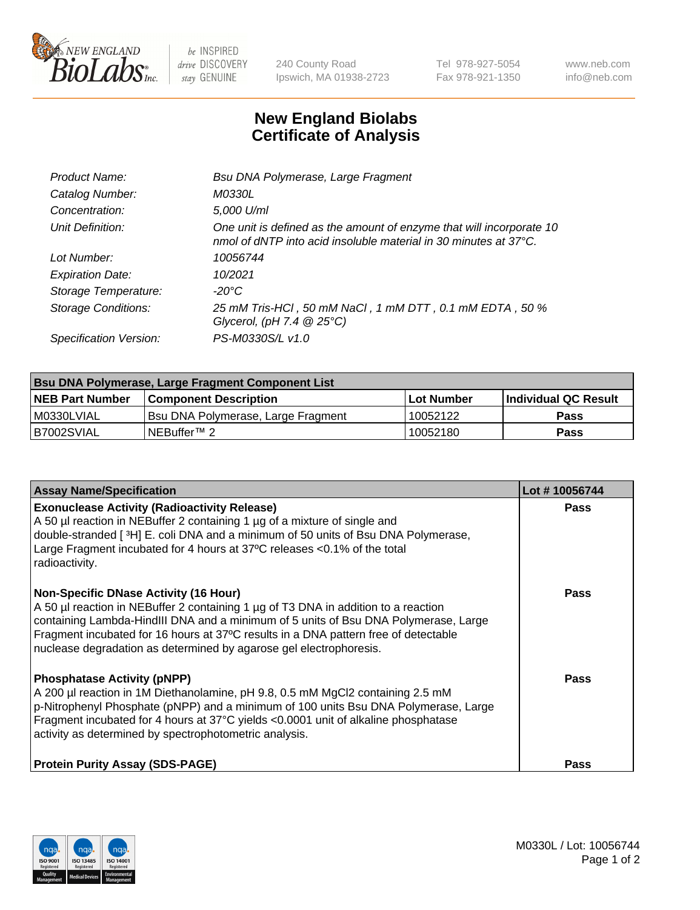

 $be$  INSPIRED drive DISCOVERY stay GENUINE

240 County Road Ipswich, MA 01938-2723 Tel 978-927-5054 Fax 978-921-1350 www.neb.com info@neb.com

## **New England Biolabs Certificate of Analysis**

| Product Name:              | Bsu DNA Polymerase, Large Fragment                                                                                                                 |
|----------------------------|----------------------------------------------------------------------------------------------------------------------------------------------------|
| Catalog Number:            | M0330L                                                                                                                                             |
| Concentration:             | 5,000 U/ml                                                                                                                                         |
| Unit Definition:           | One unit is defined as the amount of enzyme that will incorporate 10<br>nmol of dNTP into acid insoluble material in 30 minutes at $37^{\circ}$ C. |
| Lot Number:                | 10056744                                                                                                                                           |
| <b>Expiration Date:</b>    | 10/2021                                                                                                                                            |
| Storage Temperature:       | -20°C                                                                                                                                              |
| <b>Storage Conditions:</b> | 25 mM Tris-HCl, 50 mM NaCl, 1 mM DTT, 0.1 mM EDTA, 50 %<br>Glycerol, (pH 7.4 $@25°C$ )                                                             |
| Specification Version:     | PS-M0330S/L v1.0                                                                                                                                   |

| Bsu DNA Polymerase, Large Fragment Component List |                                    |                   |                      |  |  |
|---------------------------------------------------|------------------------------------|-------------------|----------------------|--|--|
| <b>NEB Part Number</b>                            | Component Description_             | <b>Lot Number</b> | Individual QC Result |  |  |
| I M0330LVIAL                                      | Bsu DNA Polymerase, Large Fragment | 10052122          | <b>Pass</b>          |  |  |
| B7002SVIAL                                        | INEBuffer™ 2_                      | 10052180          | <b>Pass</b>          |  |  |

| <b>Assay Name/Specification</b>                                                                                                                                                                                                                                                                                                                                                        | Lot #10056744 |
|----------------------------------------------------------------------------------------------------------------------------------------------------------------------------------------------------------------------------------------------------------------------------------------------------------------------------------------------------------------------------------------|---------------|
| <b>Exonuclease Activity (Radioactivity Release)</b><br>A 50 µl reaction in NEBuffer 2 containing 1 µg of a mixture of single and<br>double-stranded [3H] E. coli DNA and a minimum of 50 units of Bsu DNA Polymerase,<br>Large Fragment incubated for 4 hours at 37°C releases <0.1% of the total<br>radioactivity.                                                                    | <b>Pass</b>   |
| <b>Non-Specific DNase Activity (16 Hour)</b><br>A 50 µl reaction in NEBuffer 2 containing 1 µg of T3 DNA in addition to a reaction<br>containing Lambda-HindIII DNA and a minimum of 5 units of Bsu DNA Polymerase, Large<br>Fragment incubated for 16 hours at 37°C results in a DNA pattern free of detectable<br>nuclease degradation as determined by agarose gel electrophoresis. | <b>Pass</b>   |
| <b>Phosphatase Activity (pNPP)</b><br>A 200 µl reaction in 1M Diethanolamine, pH 9.8, 0.5 mM MgCl2 containing 2.5 mM<br>p-Nitrophenyl Phosphate (pNPP) and a minimum of 100 units Bsu DNA Polymerase, Large<br>Fragment incubated for 4 hours at 37°C yields <0.0001 unit of alkaline phosphatase<br>activity as determined by spectrophotometric analysis.                            | Pass          |
| <b>Protein Purity Assay (SDS-PAGE)</b>                                                                                                                                                                                                                                                                                                                                                 | <b>Pass</b>   |